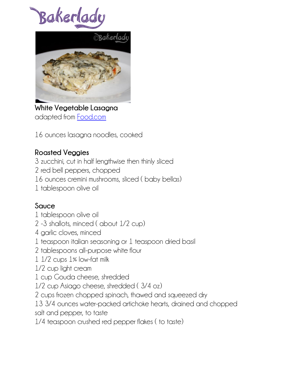Bakerlad



**White Vegetable Lasagna** adapted from [Food.com](http://www.food.com/recipe/white-vegetable-lasagna-282909)

16 ounces lasagna noodles, cooked

## **Roasted Veggies**

3 zucchini, cut in half lengthwise then thinly sliced

2 red bell peppers, chopped

16 ounces cremini mushrooms, sliced ( baby bellas)

1 tablespoon olive oil

## **Sauce**

- 1 tablespoon olive oil
- 2 -3 shallots, minced ( about 1/2 cup)
- 4 garlic cloves, minced
- 1 teaspoon italian seasoning or 1 teaspoon dried basil
- 2 tablespoons all-purpose white flour
- 1 1/2 cups 1% low-fat milk
- 1/2 cup light cream
- 1 cup Gouda cheese, shredded
- 1/2 cup Asiago cheese, shredded ( 3/4 oz)
- 2 cups frozen chopped spinach, thawed and squeezed dry

13 3/4 ounces water-packed artichoke hearts, drained and chopped salt and pepper, to taste

1/4 teaspoon crushed red pepper flakes ( to taste)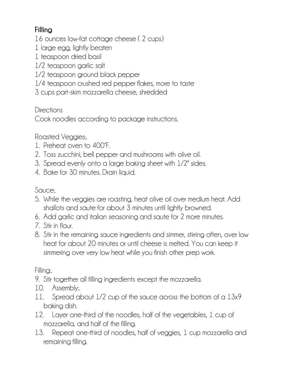## **Filling**

16 ounces low-fat cottage cheese ( 2 cups)

- 1 large egg, lightly beaten
- 1 teaspoon dried basil
- 1/2 teaspoon garlic salt
- 1/2 teaspoon ground black pepper
- 1/4 teaspoon crushed red pepper flakes, more to taste
- 3 cups part-skim mozzarella cheese, shredded

Directions

Cook noodles according to package instructions.

Roasted Veggies:.

- 1. Preheat oven to 400°F.
- 2. Toss zucchini, bell pepper and mushrooms with olive oil.
- 3. Spread evenly onto a large baking sheet with 1/2" sides.
- 4. Bake for 30 minutes. Drain liquid.

Sauce:.

- 5. While the veggies are roasting, heat olive oil over medium heat. Add shallots and saute for about 3 minutes until lightly browned.
- 6. Add garlic and italian seasoning and saute for 2 more minutes.
- 7 Stir in flour
- 8. Stir in the remaining sauce ingredients and simmer, stirring often, over low heat for about 20 minutes or until cheese is melted. You can keep it simmering over very low heat while you finish other prep work.

Filling:.

9. Stir together all filling ingredients except the mozzarella.

- 10. Assembly:.
- 11. Spread about 1/2 cup of the sauce across the bottom of a 13x9 baking dish.
- 12. Layer one-third of the noodles, half of the vegetables, 1 cup of mozzarella, and half of the filling.
- 13. Repeat one-third of noodles, half of veggies, 1 cup mozzarella and remaining filling.